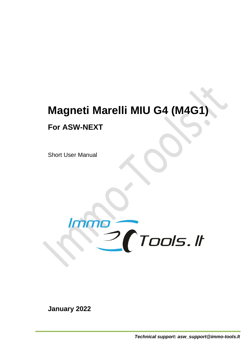# **Magneti Marelli MIU G4 (M4G1) For ASW-NEXT**

Short User Manual



**January 2022**

*Technical support: asw\_support@immo-tools.lt*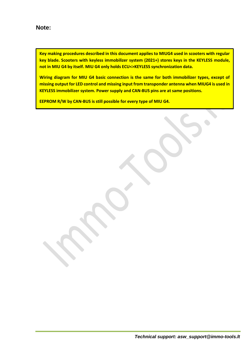**Key making procedures described in this document applies to MIUG4 used in scooters with regular key blade. Scooters with keyless immobilizer system (2021+) stores keys in the KEYLESS module, not in MIU G4 by itself. MIU G4 only holds ECU<>KEYLESS synchronization data.**

**Wiring diagram for MIU G4 basic connection is the same for both immobilizer types, except of missing output for LED control and missing input from transponder antenna when MIUG4 is used in KEYLESS immobilizer system. Power supply and CAN-BUS pins are at same positions.** 

**EEPROM R/W by CAN-BUS is still possible for every type of MIU G4.**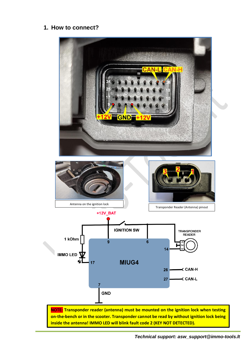#### **1. How to connect?**

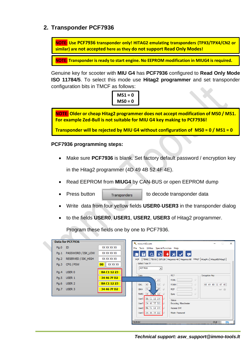## **2. Transponder PCF7936**

**NOTE: Use PCF7936 transponder only! HITAG2 emulating transponders (TPX3/TPX4/CN2 or similar) are not accepted here as they do not support Read Only Modes!**

**NOTE: Transponder is ready to start engine. No EEPROM modification in MIUG4 is required.** 

Genuine key for scooter with **MIU G4** has **PCF7936** configured to **Read Only Mode ISO 11784/5**. To select this mode use **Hitag2 programmer** and set transponder configuration bits in TMCF as follows:

$$
MS1 = 0
$$
  

$$
MS0 = 0
$$

**NOTE: Older or cheap Hitag2 programmer does not accept modification of MS0 / MS1. For example Zed-Bull is not suitable for MIU G4 key making to PCF7936!**

**Transponder will be rejected by MIU G4 without configuration of MS0 = 0 / MS1 = 0**

**PCF7936 programming steps:**

• Make sure **PCF7936** is blank. Set factory default password / encryption key

in the Hitag2 programmer (4D 49 4B 52 4F 4E).

- Read EEPROM from **MIUG4** by CAN-BUS or open EEPROM dump
- 

Press button **the Transponders** to decode transponder data

- Write data from four yellow fields **USER0**-**USER3** in the transponder dialog
- to the fields **USER0**, **USER1**, **USER2**, **USER3** of Hitag2 programmer.

Program these fields one by one to PCF7936.

|  |         | Data for PCF7936    |                         |  |  |                  | www.mk3.com                               |               |                                                                                            |    |                   |             | $\times$<br>$\Box$ |  |
|--|---------|---------------------|-------------------------|--|--|------------------|-------------------------------------------|---------------|--------------------------------------------------------------------------------------------|----|-------------------|-------------|--------------------|--|
|  | Pg.0 ID |                     | XX XX XX XX             |  |  |                  | File Tools Utilites Special Function Help |               |                                                                                            |    |                   |             |                    |  |
|  | Pq.1    | PASSWORD / ISK LOW  | XX XX XX XX             |  |  | Н                | ĐТ<br>$\circ$                             |               | $\sqrt{ }$ o                                                                               |    |                   |             |                    |  |
|  | Pq.2    | RESERVED / ISK_HIGH | XX XX XX XX             |  |  |                  |                                           |               | PCF   TEMIC   TEXAS   DST128   Megamos 48   Megamos 8E Hitag2   HitagPro   HitagAES/Hitag3 |    |                   |             |                    |  |
|  | Pq.3    | CFG / PSW           | XX XX XX<br>00          |  |  | PCF7936          | Select Type TP<br>$\vert \cdot \vert$     |               |                                                                                            |    |                   |             |                    |  |
|  | Pq.4    | USER 0              | <b>BA C1 12 23</b>      |  |  |                  |                                           |               |                                                                                            |    |                   |             |                    |  |
|  |         | Pg.5 USER 1         | 34 46 7F D <sub>2</sub> |  |  | $-\mathsf{Data}$ | 10 IO                                     |               | -RCF<br><b>RSKL</b>                                                                        | 4  | Encryption Key-   |             |                    |  |
|  | Pq.6    | USER <sub>2</sub>   | <b>BA C1 12 23</b>      |  |  | <b>ISKL</b>      | 4D <sub>4</sub><br>52                     | $\frac{1}{2}$ | <b>RSKH</b>                                                                                |    | 4D 49 4B 52 4F 4E |             |                    |  |
|  |         | Pa.7 USER 3         | 34 46 7F D <sub>2</sub> |  |  | <b>ISKH</b>      | 00, 2 <br>4E                              | $\clubsuit$   | <b>RCF</b>                                                                                 | 47 |                   |             | $\Box$             |  |
|  |         |                     |                         |  |  |                  | TMFC 06 02 4 42                           |               | Sync                                                                                       | 47 |                   |             |                    |  |
|  |         |                     |                         |  |  |                  | User0 BA C1 12 23                         |               | <b>Status</b>                                                                              |    |                   |             |                    |  |
|  |         |                     |                         |  |  |                  | User1 34 46 7F D2                         |               | Encoding: Manchester                                                                       |    |                   |             |                    |  |
|  |         |                     |                         |  |  |                  | User2 BA C1 12 23                         |               | Access: OK!                                                                                |    |                   |             |                    |  |
|  |         |                     |                         |  |  |                  | User3 34 46 7F D2                         |               | Mode: Password                                                                             |    |                   |             |                    |  |
|  |         |                     |                         |  |  | 18:20:04         |                                           |               |                                                                                            |    |                   | <b>IDLE</b> | 0%                 |  |

*Technical support: asw\_support@immo-tools.lt*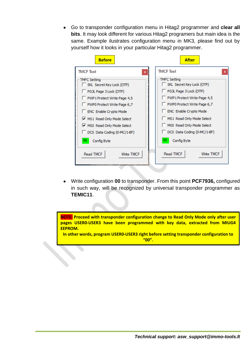• Go to transponder configuration menu in Hitag2 programmer and **clear all bits**. It may look different for various Hitag2 programers but main idea is the same. Example ilustrates configuration menu in MK3, please find out by yourself how it looks in your particular Hitag2 programmer.

| <b>Before</b>                                                                                                                                                                                                                                                                                        | <b>After</b>                                                                                                                                                                                                                                                                                                |
|------------------------------------------------------------------------------------------------------------------------------------------------------------------------------------------------------------------------------------------------------------------------------------------------------|-------------------------------------------------------------------------------------------------------------------------------------------------------------------------------------------------------------------------------------------------------------------------------------------------------------|
| <b>TMCF Tool</b><br>$\mathbf x$                                                                                                                                                                                                                                                                      | <b>TMCF Tool</b>                                                                                                                                                                                                                                                                                            |
| TMFC Setting<br>SKL Secret Key Lock (OTP)<br>PG3L Page 3 Lock (OTP)<br>PWP1 Protect Write Page 4,5<br>PWP0 Protect Write Page 6,7<br>ENC Enable Crypto Mode<br>MS1 Read Only Mode Select<br>MS0 Read Only Mode Select<br>DCS Data Coding (0-MC/1-BF)<br>06<br>Config Byte<br>Read TMCF<br>Write TMCF | <b>TMFC Setting</b><br>SKL Secret Key Lock (OTP)<br>PG3L Page 3 Lock (OTP)<br>PWP1 Protect Write Page 4,5<br>PWP0 Protect Write Page 6,7<br>ENC Enable Crypto Mode<br>MS1 Read Only Mode Select<br>MS0 Read Only Mode Select<br>DCS Data Coding (0-MC/1-BF)<br>00<br>Config Byte<br>Read TMCF<br>Write TMCF |

• Write configuration **00** to transponder. From this point **PCF7936,** configured in such way, will be recognized by universal transponder programmer as **TEMIC11**.

**NOTE: Proceed with transponder configuration change to Read Only Mode only after user pages USER0-USER3 have been programmed with key data, extracted from MIUG4 EEPROM.** 

**In other words, program USER0-USER3 right before setting transponder configuration to "00".**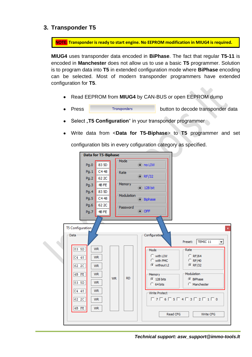## **3. Transponder T5**

**NOTE: Transponder is ready to start engine. No EEPROM modification in MIUG4 is required.** 

**MIUG4** uses transponder data encoded in **BiPhase**. The fact that regular **T5-11** is encoded in **Manchester** does not allow us to use a basic **T5** programmer. Solution is to program data into **T5** in extended configuration mode where **BiPhase** encoding can be selected. Most of modern transponder programmers have extended configuration for **T5**.

- Read EEPROM from **MIUG4** by CAN-BUS or open EEPROM dump
- **Press EXECUTE:** Transponders button to decode transponder data
- Select "T5 Configuration" in your transponder programmer
- Write data from <**Data for T5-Biphase**> to **T5** programmer and set

configuration bits in every cofiguration category as specified.



*Technical support: asw\_support@immo-tools.lt*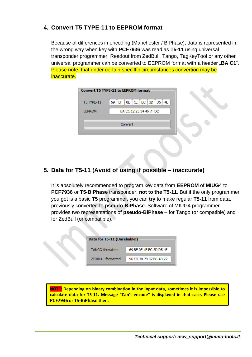# **4. Convert T5 TYPE-11 to EEPROM format**

Because of differences in encoding (Manchester / BiPhase), data is represented in the wrong way when key with **PCF7936** was read as **T5-11** using universal transponder programmer. Readout from ZedBull, Tango, TagKeyTool or any other universal programmer can be converted to EEPROM format with a header "**BA C1**". Please note, that under certain speciffic circumstances convertion may be inaccurate.

| - Convert T5 TYPE-11 to EEPROM format |                                       |  |
|---------------------------------------|---------------------------------------|--|
| <b>T5 TYPE-11</b>                     | 69   BF   0E   1E   EC   3D   D5   4E |  |
| <b>EEPROM</b>                         | BA C1 12 23 34 46 7F D2               |  |
|                                       |                                       |  |
|                                       |                                       |  |

# **5. Data for T5-11 (Avoid of using if possible – inaccurate)**

It is absolutely recommended to program key data from **EEPROM** of **MIUG4** to **PCF7936** or **T5-BiPhase** transponder, **not to the T5-11**. But if the only programmer you got is a basic **T5** programmer, you can **try** to make regular **T5-11** from data, previously converted to **pseudo-BiPhase**. Software of MIUG4 programmer provides two representations of **pseudo-BiPhase** – for Tango (or compatible) and for ZedBull (or compatible).

| - Data for T5-11 (Unreliable!) |                         |  |  |  |  |  |
|--------------------------------|-------------------------|--|--|--|--|--|
| <b>TANGO</b> formatted         | 69 BF 0E 1E EC 3D D5 4E |  |  |  |  |  |
| <b>ZEDBULL</b> formatted       | 96 FD 70 78 37 BC AB 72 |  |  |  |  |  |

**NOTE: Depending on binary combination in the input data, sometimes it is impossible to calculate data for T5-11. Message "Can't encode" is displayed in that case. Please use PCF7936 or T5-BiPhase then.**